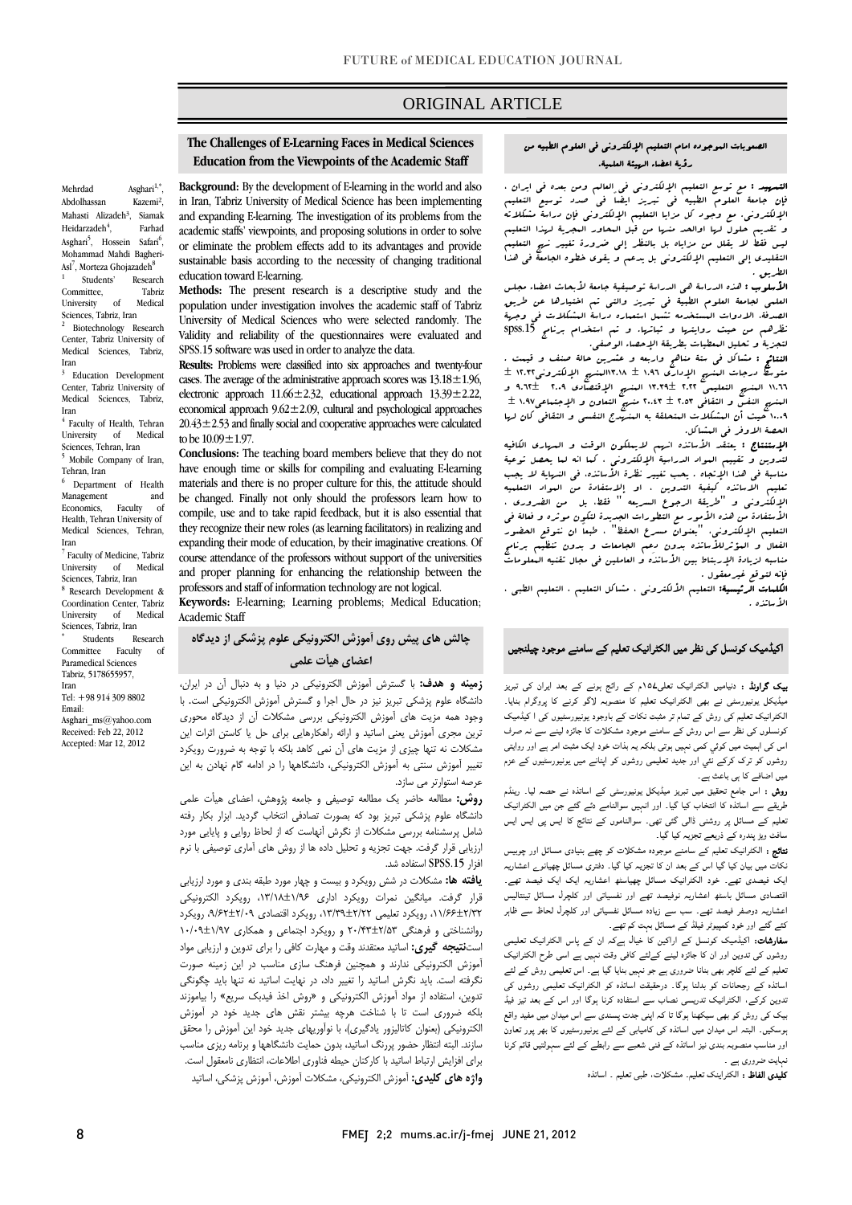# ORIGINAL ARTICLE

# **The Challenges of E-Learning Faces in Medical Sciences**  İ **Education from the Viewpoints of the Academic Staff**

ī

Mehrdad Asghari<sup>1,\*</sup>, Abdolhassan Kazemi², Mahasti Alizadeh<sup>3</sup>, Siamak Heidarzadeh $4$ , , Farhad Asghari<sup>5</sup>, Hossein Safari<sup>6</sup>, Mohammad Mahdi Bagheri-Asl<sup>7</sup>, Morteza Ghojazadeh<sup>8</sup> 1 Students' Research Committee, Tabriz

University of Medical Sciences, Tabriz, Iran <sup>2</sup> Biotechnology Research

Center, Tabriz University of Medical Sciences, Tabriz, Iran

<sup>3</sup> Education Development Center, Tabriz University of Medical Sciences, Tabriz, Iran

<sup>4</sup> Faculty of Health, Tehran University of Medical Sciences, Tehran, Iran

5 Mobile Company of Iran, Tehran, Iran

6 Department of Health Management and<br>Economics Faculty of Economics, Faculty of Health, Tehran University of Medical Sciences, Tehran, Iran

7 Faculty of Medicine, Tabriz University of Medical Sciences, Tabriz, Iran

8 Research Development & Coordination Center, Tabriz University of Medical

Sciences, Tabriz, Iran \* Students Research Committee Faculty of

Paramedical Sciences Tabriz, 5178655957, Iran

Tel: +98 914 309 8802 Email: Asghari\_ms@yahoo.com

Received: Feb 22, 2012 Accepted: Mar 12, 2012

 in Iran, Tabriz University of Medical Science has been implementing and expanding E-learning. The investigation of its problems from the academic staffs' viewpoints, and proposing solutions in order to solve sustainable basis according to the necessity of changing traditional **Background:** By the development of E-learning in the world and also or eliminate the problem effects add to its advantages and provide education toward E-learning.

 **Methods:** The present research is a descriptive study and the University of Medical Sciences who were selected randomly. The Validity and reliability of the questionnaires were evaluated and population under investigation involves the academic staff of Tabriz SPSS.15 software was used in order to analyze the data.

 **Results:** Problems were classified into six approaches and twenty-four cases. The average of the administrative approach scores was  $13.18 \pm 1.96$ , electronic approach  $11.66 \pm 2.32$ , educational approach  $13.39 \pm 2.22$ ,  $20.43 \pm 2.53$  and finally social and cooperative approaches were calculated economical approach  $9.62 \pm 2.09$ , cultural and psychological approaches to be  $10.09 + 1.97$ .

 have enough time or skills for compiling and evaluating E-learning materials and there is no proper culture for this, the attitude should be changed. Finally not only should the professors learn how to they recognize their new roles (as learning facilitators) in realizing and expanding their mode of education, by their imaginative creations. Of and proper planning for enhancing the relationship between the professors and staff of information technology are not logical. **Conclusions:** The teaching board members believe that they do not compile, use and to take rapid feedback, but it is also essential that course attendance of the professors without support of the universities

 **Keywords:** E-learning; Learning problems; Medical Education; Academic Staff

## **چالش هاي پيش روي آموزش الكترونيكي علوم پزشكي از ديدگاه اعضاي هيأت علمي**

 **زمينه و هدف:** با گسترش آموزش الكترونيكي در دنيا و به دنبال آن در ايران، -------- -- -و <sub>آ پ</sub>رسي بريز <sub>-بر</sub>ر -<sub>ر</sub>ر -<sub>ر</sub>ر - را --سربن مورس مصر عمل مست.<br>وجود همه مزيت هاي آموزش الكترونيكي بررسي مشكلات آن از ديدگاه محوري ترين مجري آموزش يعني اساتيد و ارائه راهكارهايي براي حل يا كاستن اثرات اين مشكلات نه تنها چيزي از مزيت هاي آن نمي كاهد بلكه با توجه به ضرورت رويكرد تغيير آموزش سنتي به آموزش الكترونيكي، دانشگاهها را در ادامه گام نهادن به اين دانشگاه علوم پزشكي تبريز نيز در حال اجرا و گسترش آموزش الكترونيكي است. با عرصه استوارتر مي سازد.

 **روش:** مطالعه حاضر يك مطالعه توصيفي و جامعه پژوهش، اعضاي هيأت علمي دانشگاه علوم پزشكي تبريز بود كه بصورت تصادفي انتخاب گرديد. ابزار بكار رفته شامل پرسشنامه بررسي مشكلات از نگرش آنهاست كه از لحاظ روايي و پايايي مورد رزيابي قرار گرفت. جهت تجزيه و تحليل داده ها از روش هاي آماري توصيفي با نرم<br>مستقم 1500 ميليار افزار SPSS.15 استفاده شد.

 **يافته ها:** مشكلات در شش رويكرد و بيست و چهار مورد طبقه بندي و مورد ارزيابي قرار گرفت. ميانگين نمرات رويكرد اداري ،13/18±1/96 رويكرد الكترونيكي ،11/66±2/32 رويكرد تعليمي ،13/39±2/22 رويكرد اقتصادي ،9/62±2/09 رويكرد روانشناختی و فرهنگی ۲۵/۴±۲/۵۳ و رویكرد اجتماعی و همكاری ۱/۰۹±۱۰/۰۹<br>= آموزش الكترونيكي ندارند و همچنين فرهنگ سازي مناسب در اين زمينه صورت نگرفته است. بايد نگرش اساتيد را تغيير داد، در نهايت اساتيد نه تنها بايد چگونگي تدوين، استفاده از مواد آموزش الكترونيكي و «روش اخذ فيدبك سريع» را بياموزند بلكه ضروري است تا با شناخت هرچه بيشتر نقش هاي جديد خود در آموزش سازند. البته انتظار حضور پررنگ اساتيد، بدون حمايت دانشگاهها و برنامه ريزي مناسب براي افزايش ارتباط اساتيد با كاركنان حيطه فناوري اطلاعات، انتظاري نامعقول است. **واژه هاي كليدي:** آموزش الكترونيكي، مشكلات آموزش، آموزش پزشكي، اساتيد است**نتيجه گيري:** اساتيد معتقدند وقت و مهارت كافي را براي تدوين و ارزيابي مواد الكترونيكي (بعنوان كاتاليزور يادگيري)، با نوآوريهاي جديد خود اين آموزش را محقق

#### الصعوبات الموجوده امام التعليم الإلكتروني في العلوم الطبيه من رؤية اعضاء الهيئة العلمية.

Ī

 $\overline{a}$ ł. و تقديم حلول لها اوالحد منها من قبل البحاور البجرية لهذا التعليم<br>و تقديم المدين التقليدي إلي التعليم الإلكتروني بل يدعم و يقوي خطوه الجامعة في هذا **التسهيد :** مع توسع التعليم الإلكتروني في العالم ومن بعده في ايران ، فإن جامعة العلوم الطبيه في تبريز ايضاً في صدد توسيع التعليم الإلكتروني. مع وجود كل مزايا التعليم الإلكتروني فإن دراسة مشكلاته ليس فقط لا يقلل من مزاياه بل بالنظر إلي ضرورة تغيير نهج التعليم الطريق .

الطريق ·<br>**الأسلوب** : هذه الدراسة ه<sub>ى</sub> الدراسة توصيفية جامعة لأبحاث اعضاء مجلس العلمي لجامعة العلوم الطبية في تبريز والتي تم اختيارها عن طريق الصدفة، الادوات المستخدمه تشمل استعماره دراسة المشكلات في وجهة لتجزية و تحليل المعطيات بطريقة الإحصاء الوصفي. نظرهم من حيث روايتها و ثباتها. و تم استخدام برنامج .15spss

 النتائج : مشاكل في ستة مناهج واربعه و عشرين حالة صنف و قيمت . متوسط درجات البنسج الإداري 1.91 ± ١٣.٢٨لينسج الإلكتروني12.18 ±<br>جودد به درجات الدرجات 1.02 ± 1.02 ± 1.02 ± 1.02 ± 1.02 ± 1.02 ± 1.02 ± 1.02 ± 1.02 ± ì  $\overline{1}$ 11.66 المنهج التعليمي 2.22 13.39± المنهج الإقتصادي 2.09 9.62± و المنهج النفس و الثقافي 2.53 ± 20.43 منهج التعاون و الإجتماعي1.97 ± 10.09 حيث أن المشكلات المتحلقة به المنهدج النفسي و الثقافي كان لها الحصة الاوفر في المشاكل.

 الإستنتاج : يعتقد الأساتذه انهم لايملكون الوقت و المهاري الكافيه لتدوين و تقييم المواد الدراسية الإلكتروني ، كما انه لما يحصل توعية ĺ . التعليم الإلكتروني، "بعنوان مسرع الحفظ" ، طبعاً ان نتوقع الحضور الفعال و المؤثرللأساتذه بدون دعم الجامعات و بدون تنظيم برنامج مناسبه لزيادة الإربتاط بين الأساتذَه و العاملين في مجال تقنيه الععلومات<br>. مناسبة في هذا الإتجاه . يحب تغيير نظرة الأساتذه، في النهاية لا يجب تعليم الاساتذه كيفية التدوين ، او إلاستفادة من المواد التعلميه الإلكتروني و "طريقة الرجوع السريعه " فقط، بل من الضروري ، الأستفادة من هذه الأمور مع التطورات الجديدة لتكون موثره و فعالة في فإنه لتوقع غيرمعقول .

ا**لكلمات الرئيسية:** التعليم الألكتروني ، مشاكل التعليم ، التعليم الطبي ، الأساتذه .

### اکیڈمیک کونسل کی نظر میں الکٹرانیک تعلیم کے سامنے موجود چیلنجیں

 بیک گراونڈ : دنیامیں الکٹرانیک تعلی۱۵۷م کے رائج ہونے کے بعد ایران کی تبریز بیبیت کی پونیورسٹی کے بھی مصرف کے مثبت نکات کے باوجود یونیورسٹیوں کی ا کیڈمیک<br>لکٹرانیک تعلیم کی روش کے تمام تر مثبت نکات کے باوجود یونیورسٹیوں کی ا کیڈمیک کونسلوں کی نظر سے اس روش کے سامنے موجود مشکلات کا جائزہ لینے سے نہ صرف اس کی اہمیت میں کوئي کمی نہیں ہوتی بلکہ یہ بذات خود ایک مثبت امر ہے اور روایتی ۔<br>میں اضافے کا ہی باعث ہے۔ میڈیکل یونیورسٹی نے بھی الکٹرانیک تعلیم کا منصوبہ لاگو کرنے کا پروگرام بنایا۔ روشوں کو ترک کرکے نئي اور جدید تعلیمی روشوں کو اپنانے میں یونیورسٹیوں کے عزم

 روش : اس جامع تحقیق میں تبریز میڈیکل یونیورسٹی کے اساتذہ نے حصہ لیا۔ رینڈم طریقے سے اساتذہ کا انتخاب کیا گيا۔ اور انہیں سوالنامے دئے گئے جن میں الکٹرانیک سافٹ ویڑ پندرہ کے ذریعے تجزیہ کیا گيا۔ تعلیم کے مسائل پر روشنی ڈالی گئی تھی۔ سوالناموں کے نتائج کا ایس پی ایس ایس

 نتائج : الکٹرانیک تعلیم کے سامنے موجودہ مشکلات کو چھے بنیادی مسائل اور چوبیس ایک فیصدی تھے۔ خود الکٹرانیک مسائل چھیاسٹھ اعشاریہ ایک ایک فیصد تھے۔ اقتصادی مسائل باسٹھ اعشاریہ نوفیصد تھے اور نفسیاتی اور کلچرل مسائل تینتالیس اعشاریہ دوصفر فیصد تھے۔ سب سے زیادہ مسائل نفسیاتی اور کلچرل لحاظ سے ظاہر نکات میں بیان کیا گيا اس کے بعد ان کا تجزیہ کیا گيا۔ دفتری مسائل چھیانوے اعشاریہ کئے گئے اور خود کمپیوٹر فیلڈ کے مسائل بہت کم تھے۔

 سفارشات: اکیڈمیک کونسل کے اراکین کا خیال ہےکہ ان کے پاس الکٹرانیک تعلیمی روشوں کی تدوین اور ان کا جائزہ لینے کےلئے کافی وقت نہیں ہے اسی طرح الکٹرانیک معیم سے سے سپر بھی بند صروری ہے بو مہیں بند سے ہے۔ اس معیسی روس سے سے<br>اساتذہ کے رجحانات کو بدلنا ہوگا۔ درحقیقت اساتذہ کو الکٹرانیک تعلیمی روشوں کی تدوین کرکے، الکٹرانیک تدریسی نصاب سے استفادہ کرنا ہوگا اور اس کے بعد تیز فیڈ بیک کی روش کو بھی سیکھنا ہوگا تا کہ اپنی جدت پسندی سے اس میدان میں مفید واقع اور مناسب منصوبہ بندی نیز اساتذہ کے فنی شعبے سے رابطے کے لئے سہولتیں قائم کرنا تعلیم کے لئے کلچر بھی بنانا ضروری ہے جو نہیں بنایا گيا ہے۔ اس تعلیمی روش کے لئے ہوسکیں۔ البتہ اس میدان میں اساتذہ کی کامیابی کے لئے یونیورسٹیوں کا بھر پور تعاون نہایت ضروری ہے ۔

کلیدی الفاظ : الکٹراینک تعلیم۔ مشکلات، طبی تعلیم ۔ اساتذہ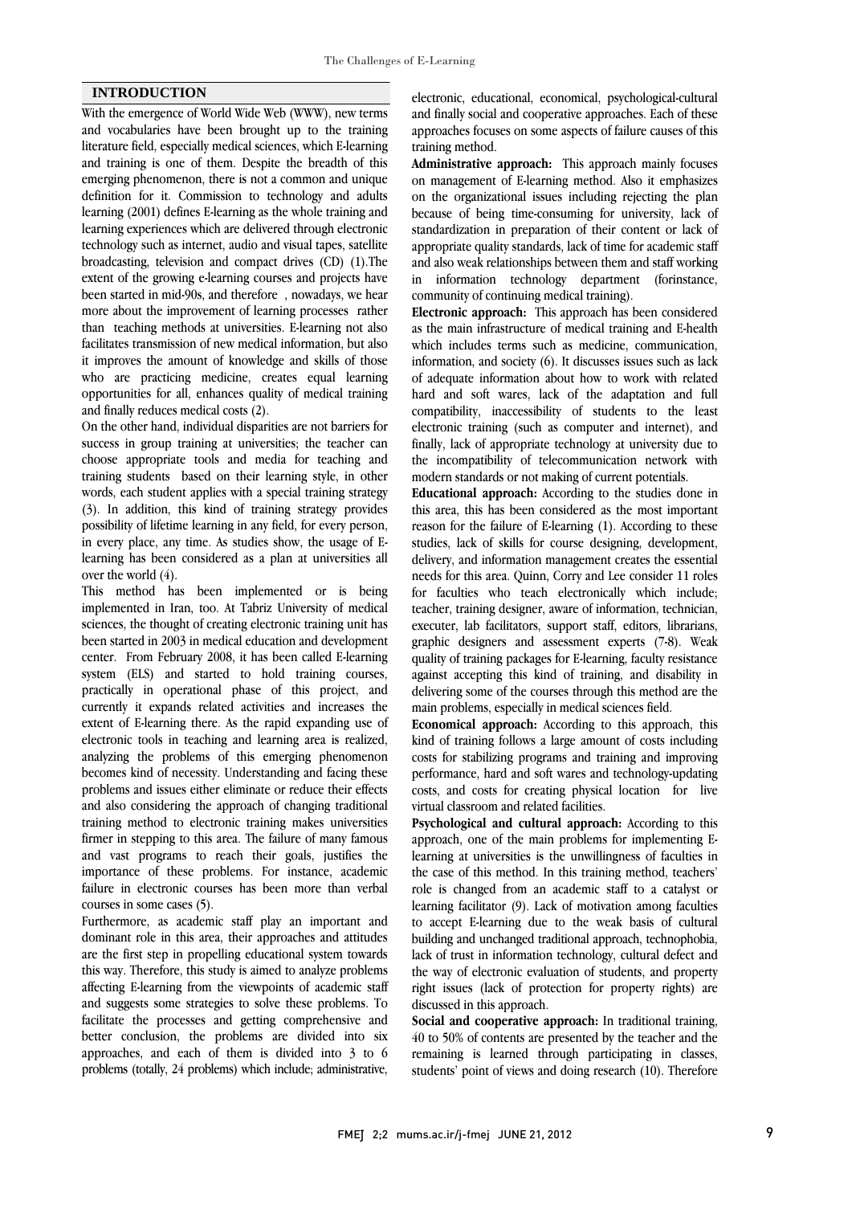### **INTRODUCTION**

With the emergence of World Wide Web (WWW), new terms and vocabularies have been brought up to the training literature field, especially medical sciences, which E-learning and training is one of them. Despite the breadth of this emerging phenomenon, there is not a common and unique definition for it. Commission to technology and adults learning (2001) defines E-learning as the whole training and learning experiences which are delivered through electronic technology such as internet, audio and visual tapes, satellite broadcasting, television and compact drives (CD) (1).The extent of the growing e-learning courses and projects have been started in mid-90s, and therefore , nowadays, we hear more about the improvement of learning processes rather than teaching methods at universities. E-learning not also facilitates transmission of new medical information, but also it improves the amount of knowledge and skills of those who are practicing medicine, creates equal learning opportunities for all, enhances quality of medical training and finally reduces medical costs (2).

On the other hand, individual disparities are not barriers for success in group training at universities; the teacher can choose appropriate tools and media for teaching and training students based on their learning style, in other words, each student applies with a special training strategy (3). In addition, this kind of training strategy provides possibility of lifetime learning in any field, for every person, in every place, any time. As studies show, the usage of Elearning has been considered as a plan at universities all over the world (4).

This method has been implemented or is being implemented in Iran, too. At Tabriz University of medical sciences, the thought of creating electronic training unit has been started in 2003 in medical education and development center. From February 2008, it has been called E-learning system (ELS) and started to hold training courses, practically in operational phase of this project, and currently it expands related activities and increases the extent of E-learning there. As the rapid expanding use of electronic tools in teaching and learning area is realized, analyzing the problems of this emerging phenomenon becomes kind of necessity. Understanding and facing these problems and issues either eliminate or reduce their effects and also considering the approach of changing traditional training method to electronic training makes universities firmer in stepping to this area. The failure of many famous and vast programs to reach their goals, justifies the importance of these problems. For instance, academic failure in electronic courses has been more than verbal courses in some cases (5).

Furthermore, as academic staff play an important and dominant role in this area, their approaches and attitudes are the first step in propelling educational system towards this way. Therefore, this study is aimed to analyze problems affecting E-learning from the viewpoints of academic staff and suggests some strategies to solve these problems. To facilitate the processes and getting comprehensive and better conclusion, the problems are divided into six approaches, and each of them is divided into 3 to 6 problems (totally, 24 problems) which include; administrative,

 electronic, educational, economical, psychological-cultural and finally social and cooperative approaches. Each of these approaches focuses on some aspects of failure causes of this training method.

 on management of E-learning method. Also it emphasizes on the organizational issues including rejecting the plan because of being time-consuming for university, lack of standardization in preparation of their content or lack of and also weak relationships between them and staff working in information technology department (forinstance, community of continuing medical training). **Administrative approach:** This approach mainly focuses appropriate quality standards, lack of time for academic staff

 **Electronic approach:** This approach has been considered which includes terms such as medicine, communication, information, and society (6). It discusses issues such as lack of adequate information about how to work with related hard and soft wares, lack of the adaptation and full electronic training (such as computer and internet), and finally, lack of appropriate technology at university due to the incompatibility of telecommunication network with modern standards or not making of current potentials. as the main infrastructure of medical training and E-health compatibility, inaccessibility of students to the least

 this area, this has been considered as the most important reason for the failure of E-learning (1). According to these studies, lack of skills for course designing, development, delivery, and information management creates the essential for faculties who teach electronically which include; teacher, training designer, aware of information, technician, executer, lab facilitators, support staff, editors, librarians, graphic designers and assessment experts (7-8). Weak against accepting this kind of training, and disability in delivering some of the courses through this method are the main problems, especially in medical sciences field. **Educational approach:** According to the studies done in needs for this area. Quinn, Corry and Lee consider 11 roles quality of training packages for E-learning, faculty resistance

 **Economical approach:** According to this approach, this costs for stabilizing programs and training and improving performance, hard and soft wares and technology-updating costs, and costs for creating physical location for live virtual classroom and related facilities. kind of training follows a large amount of costs including

 approach, one of the main problems for implementing E- learning at universities is the unwillingness of faculties in the case of this method. In this training method, teachers' learning facilitator (9). Lack of motivation among faculties to accept E-learning due to the weak basis of cultural building and unchanged traditional approach, technophobia, lack of trust in information technology, cultural defect and the way of electronic evaluation of students, and property discussed in this approach. **Psychological and cultural approach:** According to this role is changed from an academic staff to a catalyst or right issues (lack of protection for property rights) are

 **Social and cooperative approach:** In traditional training, 40 to 50% of contents are presented by the teacher and the remaining is learned through participating in classes, students' point of views and doing research (10). Therefore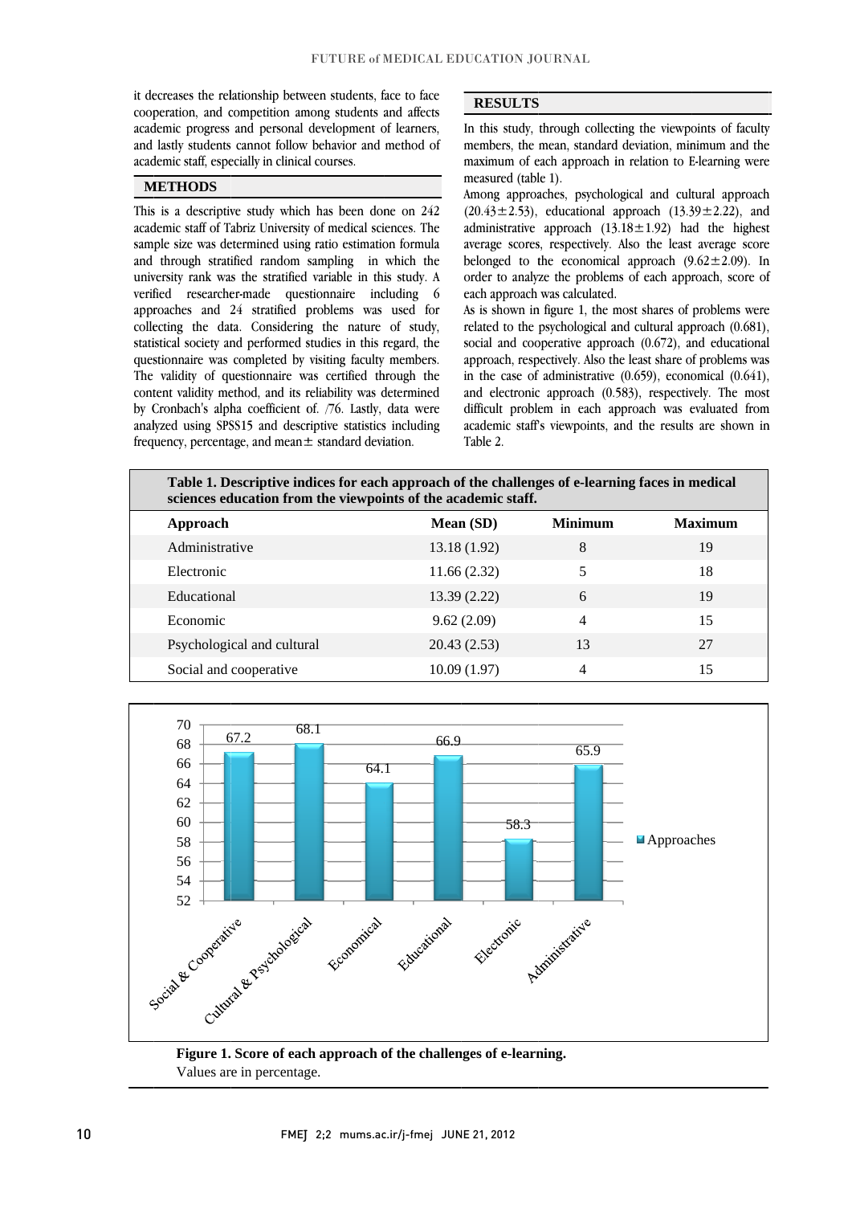it decreases the relationship between students, face to face cooperation, and competition among students and affects academic progress and personal development of learners, and lastly students cannot follow behavior and method of academic staff, especially in clinical courses.

# **METHODS**

This is a descriptive study which has been done on 242 academic staff of Tabriz University of medical sciences. The sample size was determined using ratio estimation formula and through stratified random sampling in which the university rank was the stratified variable in this study. A verified researcher-made questionnaire including 6 approaches and 24 stratified problems was used for collecting the data. Considering the nature of study, statistical society and performed studies in this regard, the questionnaire was completed by visiting faculty members. The validity of questionnaire was certified through the content validity method, and its reliability was determined by Cronbach's alpha coefficient of. /76. Lastly, data were analyzed using SPSS15 and descriptive statistics including frequency, percentage, and mean $\pm$  standard deviation.

#### **RESULTS**

In this study, through collecting the viewpoints of faculty members, the mean, standard deviation, minimum and the maximum of each approach in relation to E-learning were measured (table 1).

Among approaches, psychological and cultural approach  $(20.43 \pm 2.53)$ , educational approach  $(13.39 \pm 2.22)$ , and administrative approach  $(13.18 \pm 1.92)$  had the highest average scores, respectively. Also the least average score belonged to the economical approach  $(9.62 \pm 2.09)$ . In order to analyze the problems of each approach, score of each approach was calculated.

As is shown in figure 1, the most shares of problems were related to the psychological and cultural approach (0.681), social and cooperative approach (0.672), and educational approach, respectively. Also the least share of problems was in the case of administrative  $(0.659)$ , economical  $(0.641)$ , and electronic approach (0.583), respectively. The most difficult problem in each approach was evaluated from academic staff's viewpoints, and the results are shown in Table 2.

| Table 1. Descriptive indices for each approach of the challenges of e-learning faces in medical<br>sciences education from the viewpoints of the academic staff. |              |                |                |  |  |  |  |
|------------------------------------------------------------------------------------------------------------------------------------------------------------------|--------------|----------------|----------------|--|--|--|--|
| Approach                                                                                                                                                         | Mean (SD)    | <b>Minimum</b> | <b>Maximum</b> |  |  |  |  |
| Administrative                                                                                                                                                   | 13.18 (1.92) | 8              | 19             |  |  |  |  |
| Electronic                                                                                                                                                       | 11.66(2.32)  | 5              | 18             |  |  |  |  |
| Educational                                                                                                                                                      | 13.39(2.22)  | 6              | 19             |  |  |  |  |
| Economic                                                                                                                                                         | 9.62(2.09)   | $\overline{4}$ | 15             |  |  |  |  |
| Psychological and cultural                                                                                                                                       | 20.43(2.53)  | 13             | 27             |  |  |  |  |
| Social and cooperative                                                                                                                                           | 10.09(1.97)  | 4              | 15             |  |  |  |  |



Figure 1. Score of each approach of the challenges of e-learning. Values are in percentage.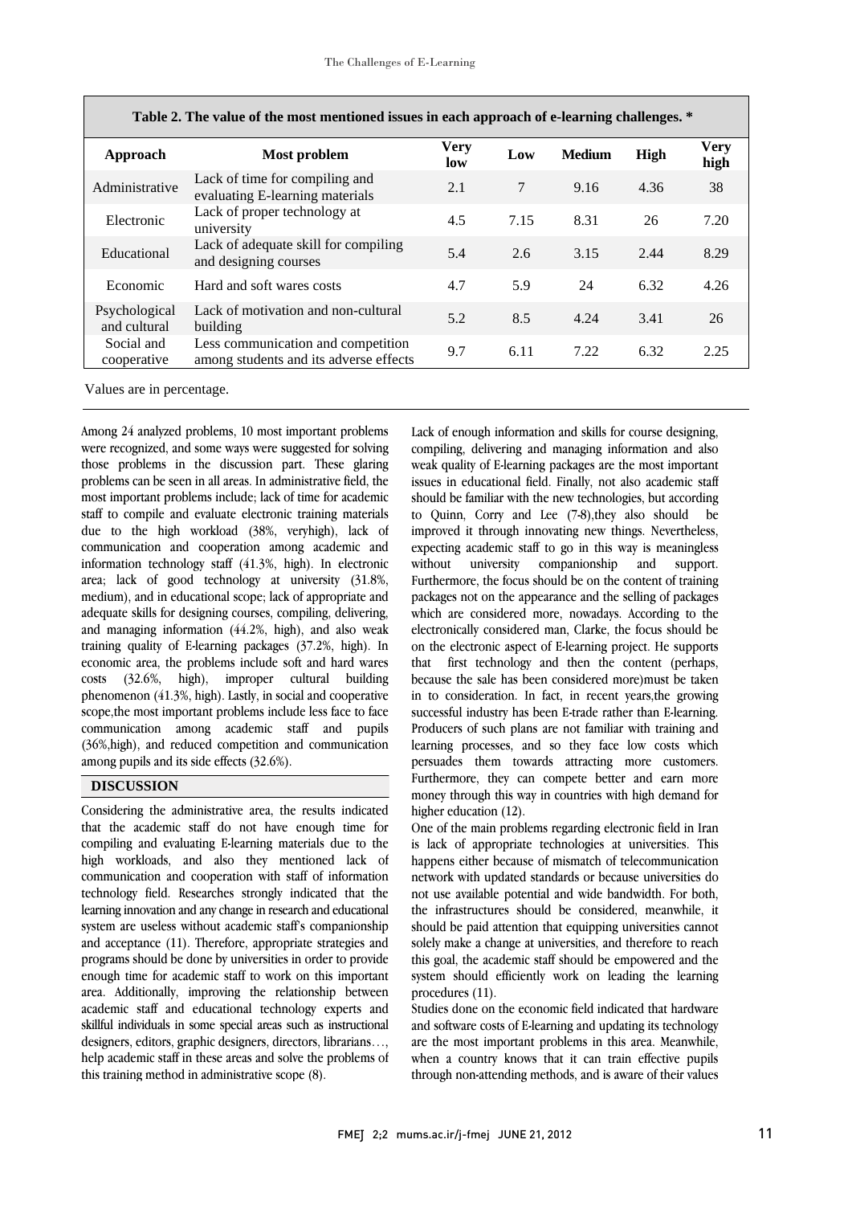| Table 2. The value of the most mentioned issues in each approach of e-learning challenges. * |                                                                              |                    |      |               |             |                     |  |
|----------------------------------------------------------------------------------------------|------------------------------------------------------------------------------|--------------------|------|---------------|-------------|---------------------|--|
| Approach                                                                                     | Most problem                                                                 | <b>Very</b><br>low | Low  | <b>Medium</b> | <b>High</b> | <b>Very</b><br>high |  |
| Administrative                                                                               | Lack of time for compiling and<br>evaluating E-learning materials            | 2.1                | 7    | 9.16          | 4.36        | 38                  |  |
| Electronic                                                                                   | Lack of proper technology at<br>university                                   | 4.5                | 7.15 | 8.31          | 26          | 7.20                |  |
| Educational                                                                                  | Lack of adequate skill for compiling<br>and designing courses                | 5.4                | 2.6  | 3.15          | 2.44        | 8.29                |  |
| Economic                                                                                     | Hard and soft wares costs                                                    | 4.7                | 5.9  | 24            | 6.32        | 4.26                |  |
| Psychological<br>and cultural                                                                | Lack of motivation and non-cultural<br>building                              | 5.2                | 8.5  | 4.24          | 3.41        | 26                  |  |
| Social and<br>cooperative                                                                    | Less communication and competition<br>among students and its adverse effects | 9.7                | 6.11 | 7.22          | 6.32        | 2.25                |  |

| Table 2. The value of the most mentioned issues in each approach of e-learning challenges. * |  |
|----------------------------------------------------------------------------------------------|--|
|                                                                                              |  |

 $\overline{\phantom{0}}$ 

Values are in percentage.

Among 24 analyzed problems, 10 most important problems were recognized, and some ways were suggested for solving those problems in the discussion part. These glaring problems can be seen in all areas. In administrative field, the most important problems include; lack of time for academic staff to compile and evaluate electronic training materials due to the high workload (38%, veryhigh), lack of communication and cooperation among academic and information technology staff (41.3%, high). In electronic area; lack of good technology at university (31.8%, medium), and in educational scope; lack of appropriate and adequate skills for designing courses, compiling, delivering, and managing information (44.2%, high), and also weak training quality of E-learning packages (37.2%, high). In economic area, the problems include soft and hard wares costs (32.6%, high), improper cultural building phenomenon (41.3%, high). Lastly, in social and cooperative scope,the most important problems include less face to face communication among academic staff and pupils (36%,high), and reduced competition and communication among pupils and its side effects (32.6%).

## **DISCUSSION**

Considering the administrative area, the results indicated that the academic staff do not have enough time for compiling and evaluating E-learning materials due to the high workloads, and also they mentioned lack of communication and cooperation with staff of information technology field. Researches strongly indicated that the learning innovation and any change in research and educational system are useless without academic staff's companionship and acceptance (11). Therefore, appropriate strategies and programs should be done by universities in order to provide enough time for academic staff to work on this important area. Additionally, improving the relationship between academic staff and educational technology experts and skillful individuals in some special areas such as instructional designers, editors, graphic designers, directors, librarians…, help academic staff in these areas and solve the problems of this training method in administrative scope (8).

 Lack of enough information and skills for course designing, compiling, delivering and managing information and also weak quality of E-learning packages are the most important issues in educational field. Finally, not also academic staff should be familiar with the new technologies, but according inproved it through innovating new things. Nevertheless, expecting academic staff to go in this way is meaningless without university companionship and support. Furthermore, the focus should be on the content of training pressinger how on the uppertunce and the coming or pressinger<br>which are considered more, nowadays. According to the electronically considered man, Clarke, the focus should be on the electronic aspect of E-learning project. He supports that first technology and then the content (perhaps, in to consideration. In fact, in recent years,the growing successful industry has been E-trade rather than E-learning. Producers of such plans are not familiar with training and learning processes, and so they face low costs which Furthermore, they can compete better and earn more money through this way in countries with high demand for higher education (12). to Quinn, Corry and Lee (7-8),they also should be packages not on the appearance and the selling of packages because the sale has been considered more)must be taken persuades them towards attracting more customers.

 One of the main problems regarding electronic field in Iran happens either because of mismatch of telecommunication network with updated standards or because universities do not use available potential and wide bandwidth. For both, the infrastructures should be considered, meanwhile, it solely make a change at universities, and therefore to reach this goal, the academic staff should be empowered and the system should efficiently work on leading the learning is lack of appropriate technologies at universities. This should be paid attention that equipping universities cannot procedures (11).

procedures (11).<br>Studies done on the economic field indicated that hardware and software costs of E-learning and updating its technology are the most important problems in this area. Meanwhile, when a country knows that it can train effective pupils through non-attending methods, and is aware of their values